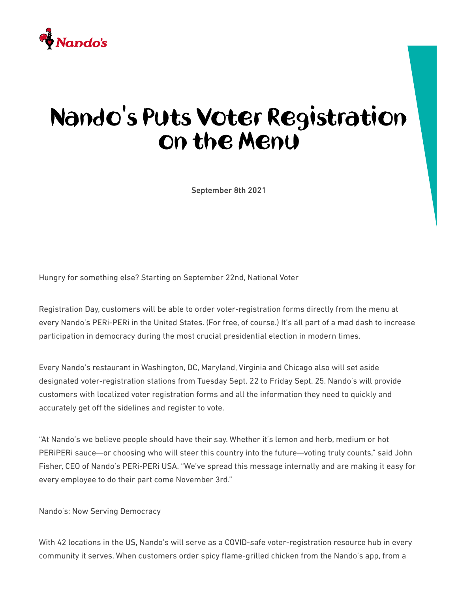

## Nando's Puts Voter Registration on the Menu

September 8th 2021

Hungry for something else? Starting on September 22nd, National Voter

Registration Day, customers will be able to order voter-registration forms directly from the menu at every Nando's PERi-PERi in the United States. (For free, of course.) It's all part of a mad dash to increase participation in democracy during the most crucial presidential election in modern times.

Every Nando's restaurant in Washington, DC, Maryland, Virginia and Chicago also will set aside designated voter-registration stations from Tuesday Sept. 22 to Friday Sept. 25. Nando's will provide customers with localized voter registration forms and all the information they need to quickly and accurately get off the sidelines and register to vote.

"At Nando's we believe people should have their say. Whether it's lemon and herb, medium or hot PERiPERi sauce—or choosing who will steer this country into the future—voting truly counts," said John Fisher, CEO of Nando's PERi-PERi USA. "We've spread this message internally and are making it easy for every employee to do their part come November 3rd."

Nando's: Now Serving Democracy

With 42 locations in the US, Nando's will serve as a COVID-safe voter-registration resource hub in every community it serves. When customers order spicy flame-grilled chicken from the Nando's app, from a